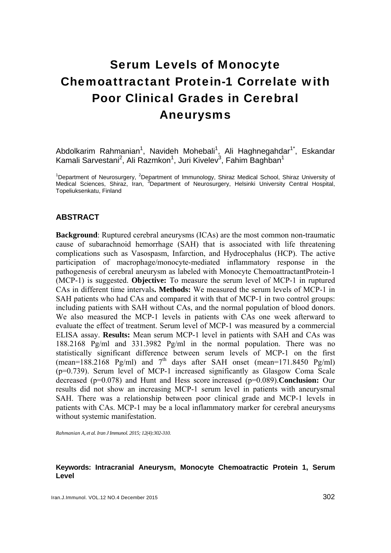# Serum Levels of Monocyte Chemoattractant Protein-1 Correlate with Poor Clinical Grades in Cerebral Aneurysms

Abdolkarim Rahmanian<sup>1</sup>, Navideh Mohebali<sup>1</sup>, Ali Haghnegahdar<sup>1\*</sup>, Eskandar Kamali Sarvestani<sup>2</sup>, Ali Razmkon<sup>1</sup>, Juri Kivelev<sup>3</sup>, Fahim Baghban<sup>1</sup>

<sup>1</sup>Department of Neurosurgery, <sup>2</sup>Department of Immunology, Shiraz Medical School, Shiraz University of Medical Sciences, Shiraz, Iran, <sup>3</sup>Department of Neurosurgery, Helsinki University Central Hospital, Topeliuksenkatu, Finland

## **ABSTRACT**

**Background**: Ruptured cerebral aneurysms (ICAs) are the most common non-traumatic cause of subarachnoid hemorrhage (SAH) that is associated with life threatening complications such as Vasospasm, Infarction, and Hydrocephalus (HCP). The active participation of macrophage/monocyte-mediated inflammatory response in the pathogenesis of cerebral aneurysm as labeled with Monocyte ChemoattractantProtein-1 (MCP-1) is suggested. **Objective:** To measure the serum level of MCP-1 in ruptured CAs in different time intervals**. Methods:** We measured the serum levels of MCP-1 in SAH patients who had CAs and compared it with that of MCP-1 in two control groups: including patients with SAH without CAs, and the normal population of blood donors. We also measured the MCP-1 levels in patients with CAs one week afterward to evaluate the effect of treatment. Serum level of MCP-1 was measured by a commercial ELISA assay. **Results:** Mean serum MCP-1 level in patients with SAH and CAs was 188.2168 Pg/ml and 331.3982 Pg/ml in the normal population. There was no statistically significant difference between serum levels of MCP-1 on the first (mean=188.2168 Pg/ml) and  $7<sup>th</sup>$  days after SAH onset (mean=171.8450 Pg/ml) (p=0.739). Serum level of MCP-1 increased significantly as Glasgow Coma Scale decreased (p=0.078) and Hunt and Hess score increased (p=0.089).**Conclusion:** Our results did not show an increasing MCP-1 serum level in patients with aneurysmal SAH. There was a relationship between poor clinical grade and MCP-1 levels in patients with CAs. MCP-1 may be a local inflammatory marker for cerebral aneurysms without systemic manifestation.

*Rahmanian A, et al. Iran J Immunol. 2015; 12(4):302-310.* 

#### **Keywords: Intracranial Aneurysm, Monocyte Chemoatractic Protein 1, Serum Level**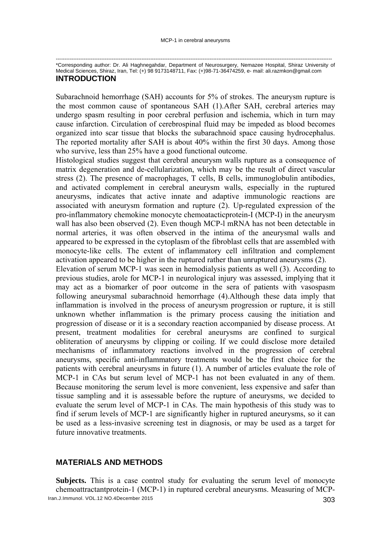-------------------------------------------------------------------------------------------------------------------------------------------------------------- \*Corresponding author: Dr. Ali Haghnegahdar, Department of Neurosurgery, Nemazee Hospital, Shiraz University of Medical Sciences, Shiraz, Iran, Tel: (+) 98 9173148711, Fax: (+)98-71-36474259, e- mail: ali.razmkon@gmail.com

#### **INTRODUCTION**

Subarachnoid hemorrhage (SAH) accounts for 5% of strokes. The aneurysm rupture is the most common cause of spontaneous SAH (1).After SAH, cerebral arteries may undergo spasm resulting in poor cerebral perfusion and ischemia, which in turn may cause infarction. Circulation of cerebrospinal fluid may be impeded as blood becomes organized into scar tissue that blocks the subarachnoid space causing hydrocephalus. The reported mortality after SAH is about 40% within the first 30 days. Among those who survive, less than 25% have a good functional outcome.

Histological studies suggest that cerebral aneurysm walls rupture as a consequence of matrix degeneration and de-cellularization, which may be the result of direct vascular stress (2). The presence of macrophages, T cells, B cells, immunoglobulin antibodies, and activated complement in cerebral aneurysm walls, especially in the ruptured aneurysms, indicates that active innate and adaptive immunologic reactions are associated with aneurysm formation and rupture (2). Up-regulated expression of the pro-inflammatory chemokine monocyte chemoatacticprotein-I (MCP-I) in the aneurysm wall has also been observed (2). Even though MCP-l mRNA has not been detectable in normal arteries, it was often observed in the intima of the aneurysmal walls and appeared to be expressed in the cytoplasm of the fibroblast cells that are assembled with monocyte-like cells. The extent of inflammatory cell infiltration and complement activation appeared to be higher in the ruptured rather than unruptured aneurysms (2). Elevation of serum MCP-1 was seen in hemodialysis patients as well (3). According to previous studies, arole for MCP-1 in neurological injury was assessed, implying that it may act as a biomarker of poor outcome in the sera of patients with vasospasm following aneurysmal subarachnoid hemorrhage (4).Although these data imply that inflammation is involved in the process of aneurysm progression or rupture, it is still unknown whether inflammation is the primary process causing the initiation and progression of disease or it is a secondary reaction accompanied by disease process. At present, treatment modalities for cerebral aneurysms are confined to surgical obliteration of aneurysms by clipping or coiling. If we could disclose more detailed mechanisms of inflammatory reactions involved in the progression of cerebral aneurysms, specific anti-inflammatory treatments would be the first choice for the patients with cerebral aneurysms in future (1). A number of articles evaluate the role of MCP-1 in CAs but serum level of MCP-1 has not been evaluated in any of them. Because monitoring the serum level is more convenient, less expensive and safer than tissue sampling and it is assessable before the rupture of aneurysms, we decided to evaluate the serum level of MCP-1 in CAs. The main hypothesis of this study was to find if serum levels of MCP-1 are significantly higher in ruptured aneurysms, so it can be used as a less-invasive screening test in diagnosis, or may be used as a target for future innovative treatments.

## **MATERIALS AND METHODS**

Iran.J.Immunol. VOL.12 NO.4December 2015 303 **Subjects.** This is a case control study for evaluating the serum level of monocyte chemoattractantprotein-1 (MCP-1) in ruptured cerebral aneurysms. Measuring of MCP-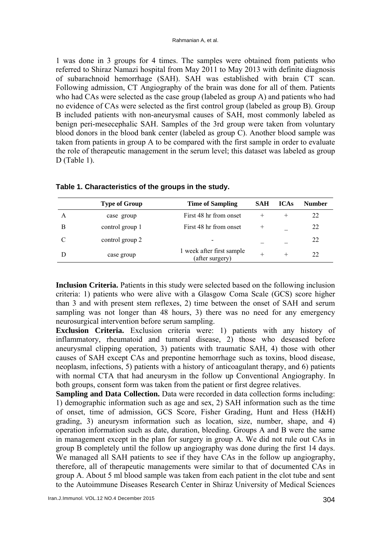1 was done in 3 groups for 4 times. The samples were obtained from patients who referred to Shiraz Namazi hospital from May 2011 to May 2013 with definite diagnosis of subarachnoid hemorrhage (SAH). SAH was established with brain CT scan. Following admission, CT Angiography of the brain was done for all of them. Patients who had CAs were selected as the case group (labeled as group A) and patients who had no evidence of CAs were selected as the first control group (labeled as group B). Group B included patients with non-aneurysmal causes of SAH, most commonly labeled as benign peri-mesecephalic SAH. Samples of the 3rd group were taken from voluntary blood donors in the blood bank center (labeled as group C). Another blood sample was taken from patients in group A to be compared with the first sample in order to evaluate the role of therapeutic management in the serum level; this dataset was labeled as group D (Table 1).

|   | <b>Type of Group</b> | <b>Time of Sampling</b>                      | <b>SAH</b> | <b>ICAs</b> | <b>Number</b> |  |
|---|----------------------|----------------------------------------------|------------|-------------|---------------|--|
| A | case group           | First 48 hr from onset                       |            | $^{+}$      | 22            |  |
| B | control group 1      | First 48 hr from onset                       |            |             | 22            |  |
| C | control group 2      |                                              |            |             | 22            |  |
|   | case group           | 1 week after first sample<br>(after surgery) | $^{+}$     | $^{+}$      | 22            |  |
|   |                      |                                              |            |             |               |  |

**Table 1. Characteristics of the groups in the study.** 

**Inclusion Criteria.** Patients in this study were selected based on the following inclusion criteria: 1) patients who were alive with a Glasgow Coma Scale (GCS) score higher than 3 and with present stem reflexes, 2) time between the onset of SAH and serum sampling was not longer than 48 hours, 3) there was no need for any emergency neurosurgical intervention before serum sampling.

**Exclusion Criteria.** Exclusion criteria were: 1) patients with any history of inflammatory, rheumatoid and tumoral disease, 2) those who deseased before aneurysmal clipping operation, 3) patients with traumatic SAH, 4) those with other causes of SAH except CAs and prepontine hemorrhage such as toxins, blood disease, neoplasm, infections, 5) patients with a history of anticoagulant therapy, and 6) patients with normal CTA that had aneurysm in the follow up Conventional Angiography. In both groups, consent form was taken from the patient or first degree relatives.

**Sampling and Data Collection.** Data were recorded in data collection forms including: 1) demographic information such as age and sex, 2) SAH information such as the time of onset, time of admission, GCS Score, Fisher Grading, Hunt and Hess (H&H) grading, 3) aneurysm information such as location, size, number, shape, and 4) operation information such as date, duration, bleeding. Groups A and B were the same in management except in the plan for surgery in group A. We did not rule out CAs in group B completely until the follow up angiography was done during the first 14 days. We managed all SAH patients to see if they have CAs in the follow up angiography, therefore, all of therapeutic managements were similar to that of documented CAs in group A. About 5 ml blood sample was taken from each patient in the clot tube and sent to the Autoimmune Diseases Research Center in Shiraz University of Medical Sciences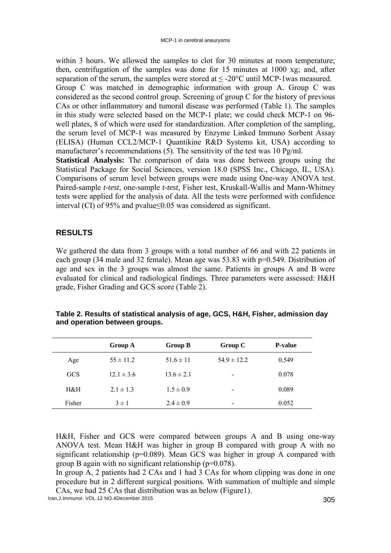within 3 hours. We allowed the samples to clot for 30 minutes at room temperature; then, centrifugation of the samples was done for 15 minutes at 1000 xg; and, after separation of the serum, the samples were stored at < -20°C until MCP-1was measured. Group C was matched in demographic information with group A. Group C was considered as the second control group. Screening of group C for the history of previous CAs or other inflammatory and tumoral disease was performed (Table 1). The samples in this study were selected based on the MCP-1 plate; we could check MCP-1 on 96 well plates, 8 of which were used for standardization. After completion of the sampling, the serum level of MCP-1 was measured by Enzyme Linked Immuno Sorbent Assay (ELISA) (Human CCL2/MCP-1 Quantikine R&D Systems kit, USA) according to manufacturer's recommendations (5). The sensitivity of the test was 10 Pg/ml. **Statistical Analysis:** The comparison of data was done between groups using the

Statistical Package for Social Sciences, version 18.0 (SPSS Inc., Chicago, IL, USA). Comparisons of serum level between groups were made using One-way ANOVA test. Paired-sample *t-test*, one-sample *t-test*, Fisher test, Kruskall-Wallis and Mann-Whitney tests were applied for the analysis of data. All the tests were performed with confidence interval (CI) of 95% and pvalue≤0.05 was considered as significant.

#### **RESULTS**

We gathered the data from 3 groups with a total number of 66 and with 22 patients in each group (34 male and 32 female). Mean age was 53.83 with p=0.549. Distribution of age and sex in the 3 groups was almost the same. Patients in groups A and B were evaluated for clinical and radiological findings. Three parameters were assessed: H&H grade, Fisher Grading and GCS score (Table 2).

|            | <b>Group A</b> | <b>Group B</b> | Group C                  | <b>P-value</b> |
|------------|----------------|----------------|--------------------------|----------------|
| Age        | $55 \pm 11.2$  | $51.6 \pm 11$  | $54.9 \pm 12.2$          | 0.549          |
| <b>GCS</b> | $12.1 \pm 3.6$ | $13.6 \pm 2.1$ | $\overline{\phantom{0}}$ | 0.078          |
| H&H        | $2.1 \pm 1.3$  | $1.5 \pm 0.9$  | $\overline{\phantom{a}}$ | 0.089          |
| Fisher     | $3 \pm 1$      | $2.4 \pm 0.9$  | $\qquad \qquad$          | 0.052          |

**Table 2. Results of statistical analysis of age, GCS, H&H, Fisher, admission day and operation between groups.** 

H&H, Fisher and GCS were compared between groups A and B using one-way ANOVA test. Mean H&H was higher in group B compared with group A with no significant relationship (p=0.089). Mean GCS was higher in group A compared with group B again with no significant relationship  $(p=0.078)$ .

In group A, 2 patients had 2 CAs and 1 had 3 CAs for whom clipping was done in one procedure but in 2 different surgical positions. With summation of multiple and simple CAs, we had 25 CAs that distribution was as below (Figure1).

Iran.J.Immunol. VOL.12 NO.4December 2015 305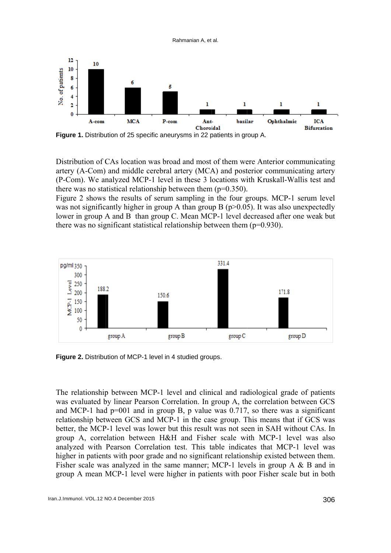

Ra ahmanian A, et al.

**Figure 1.** Distribution of 25 specific aneurysms in 22 patients in group A.

Distribution of CAs location was broad and most of them were Anterior communicating artery (A-Com) and middle cerebral artery (MCA) and posterior communicating artery (P-Com). We analyzed MCP-1 level in these 3 locations with Kruskall-Wallis test and there was no statistical relationship between them  $(p=0.350)$ .

Figure 2 shows the results of serum sampling in the four groups. MCP-1 serum level was not significantly higher in group A than group B ( $p$  > 0.05). It was also unexpectedly lower in group A and B than group C. Mean MCP-1 level decreased after one weak but there was no significant statistical relationship between them  $(p=0.930)$ .



**Figure 2.** Distribution of MCP-1 level in 4 studied groups.

The relationship between MCP-1 level and clinical and radiological grade of patients was evaluated by linear Pearson Correlation. In group A, the correlation between GCS and MCP-1 had  $p=001$  and in group B, p value was 0.717, so there was a significant relationship between GCS and MCP-1 in the case group. This means that if GCS was better, the MCP-1 level was lower but this result was not seen in SAH without CAs. In group A, correlation between H&H and Fisher scale with MCP-1 level was also analyzed with Pearson Correlation test. This table indicates that MCP-1 level was higher in patients with poor grade and no significant relationship existed between them. Fisher scale was analyzed in the same manner; MCP-1 levels in group  $A \& B$  and in group A mean MCP-1 level were higher in patients with poor Fisher scale but in both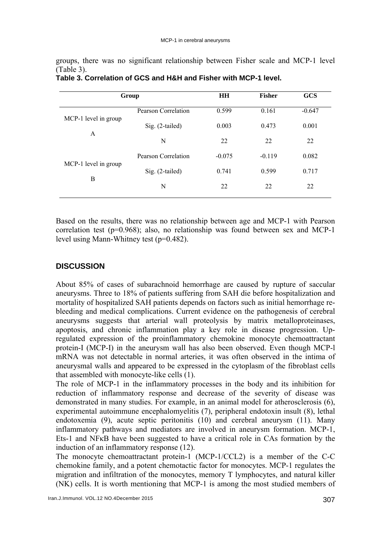groups, there was no significant relationship between Fisher scale and MCP-1 level (Table 3).

| Group                |                     | <b>HH</b> | <b>Fisher</b> | <b>GCS</b> |
|----------------------|---------------------|-----------|---------------|------------|
| MCP-1 level in group | Pearson Correlation | 0.599     | 0.161         | $-0.647$   |
| A                    | Sig. (2-tailed)     | 0.003     | 0.473         | 0.001      |
|                      | N                   | 22        | 22            | 22         |
|                      | Pearson Correlation | $-0.075$  | $-0.119$      | 0.082      |
| MCP-1 level in group | Sig. (2-tailed)     | 0.741     | 0.599         | 0.717      |
| B                    | N                   | 22        | 22            | 22         |

**Table 3. Correlation of GCS and H&H and Fisher with MCP-1 level.** 

Based on the results, there was no relationship between age and MCP-1 with Pearson correlation test (p=0.968); also, no relationship was found between sex and MCP-1 level using Mann-Whitney test (p=0.482).

## **DISCUSSION**

About 85% of cases of subarachnoid hemorrhage are caused by rupture of saccular aneurysms. Three to 18% of patients suffering from SAH die before hospitalization and mortality of hospitalized SAH patients depends on factors such as initial hemorrhage rebleeding and medical complications. Current evidence on the pathogenesis of cerebral aneurysms suggests that arterial wall proteolysis by matrix metalloproteinases, apoptosis, and chronic inflammation play a key role in disease progression. Upregulated expression of the proinflammatory chemokine monocyte chemoattractant protein-I (MCP-I) in the aneurysm wall has also been observed. Even though MCP-l mRNA was not detectable in normal arteries, it was often observed in the intima of aneurysmal walls and appeared to be expressed in the cytoplasm of the fibroblast cells that assembled with monocyte-like cells (1).

The role of MCP-1 in the inflammatory processes in the body and its inhibition for reduction of inflammatory response and decrease of the severity of disease was demonstrated in many studies. For example, in an animal model for atherosclerosis (6), experimental autoimmune encephalomyelitis (7), peripheral endotoxin insult (8), lethal endotoxemia (9), acute septic peritonitis (10) and cerebral aneurysm (11). Many inflammatory pathways and mediators are involved in aneurysm formation. MCP-1, Ets-1 and NFκB have been suggested to have a critical role in CAs formation by the induction of an inflammatory response (12).

The monocyte chemoattractant protein-1 (MCP-1/CCL2) is a member of the C-C chemokine family, and a potent chemotactic factor for monocytes. MCP-1 regulates the migration and infiltration of the monocytes, memory T lymphocytes, and natural killer (NK) cells. It is worth mentioning that MCP-1 is among the most studied members of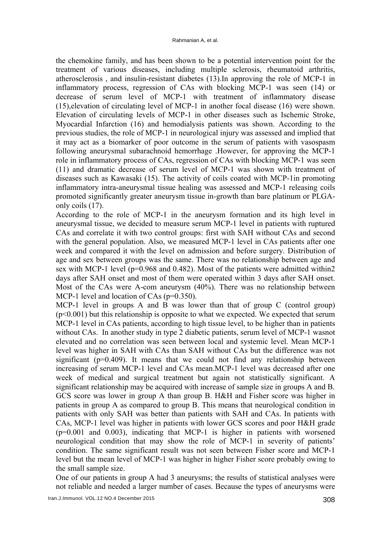the chemokine family, and has been shown to be a potential intervention point for the treatment of various diseases, including multiple sclerosis, rheumatoid arthritis, atherosclerosis , and insulin-resistant diabetes (13).In approving the role of MCP-1 in inflammatory process, regression of CAs with blocking MCP-1 was seen (14) or decrease of serum level of MCP-1 with treatment of inflammatory disease (15),elevation of circulating level of MCP-1 in another focal disease (16) were shown. Elevation of circulating levels of MCP-1 in other diseases such as Ischemic Stroke, Myocardial Infarction (16) and hemodialysis patients was shown. According to the previous studies, the role of MCP-1 in neurological injury was assessed and implied that it may act as a biomarker of poor outcome in the serum of patients with vasospasm following aneurysmal subarachnoid hemorrhage .However, for approving the MCP-1 role in inflammatory process of CAs, regression of CAs with blocking MCP-1 was seen (11) and dramatic decrease of serum level of MCP-1 was shown with treatment of diseases such as Kawasaki (15). The activity of coils coated with MCP-1in promoting inflammatory intra-aneurysmal tissue healing was assessed and MCP-1 releasing coils promoted significantly greater aneurysm tissue in-growth than bare platinum or PLGAonly coils (17).

According to the role of MCP-1 in the aneurysm formation and its high level in aneurysmal tissue, we decided to measure serum MCP-1 level in patients with ruptured CAs and correlate it with two control groups: first with SAH without CAs and second with the general population. Also, we measured MCP-1 level in CAs patients after one week and compared it with the level on admission and before surgery. Distribution of age and sex between groups was the same. There was no relationship between age and sex with MCP-1 level (p=0.968 and 0.482). Most of the patients were admitted within2 days after SAH onset and most of them were operated within 3 days after SAH onset. Most of the CAs were A-com aneurysm (40%). There was no relationship between MCP-1 level and location of CAs (p=0.350).

MCP-1 level in groups A and B was lower than that of group C (control group)  $(p<0.001)$  but this relationship is opposite to what we expected. We expected that serum MCP-1 level in CAs patients, according to high tissue level, to be higher than in patients without CAs. In another study in type 2 diabetic patients, serum level of MCP-1 wasnot elevated and no correlation was seen between local and systemic level. Mean MCP-1 level was higher in SAH with CAs than SAH without CAs but the difference was not significant ( $p=0.409$ ). It means that we could not find any relationship between increasing of serum MCP-1 level and CAs mean.MCP-1 level was decreased after one week of medical and surgical treatment but again not statistically significant. A significant relationship may be acquired with increase of sample size in groups A and B. GCS score was lower in group A than group B. H&H and Fisher score was higher in patients in group A as compared to group B. This means that neurological condition in patients with only SAH was better than patients with SAH and CAs. In patients with CAs, MCP-1 level was higher in patients with lower GCS scores and poor H&H grade (p=0.001 and 0.003), indicating that MCP-1 is higher in patients with worsened neurological condition that may show the role of MCP-1 in severity of patients' condition. The same significant result was not seen between Fisher score and MCP-1 level but the mean level of MCP-1 was higher in higher Fisher score probably owing to the small sample size.

One of our patients in group A had 3 aneurysms; the results of statistical analyses were not reliable and needed a larger number of cases. Because the types of aneurysms were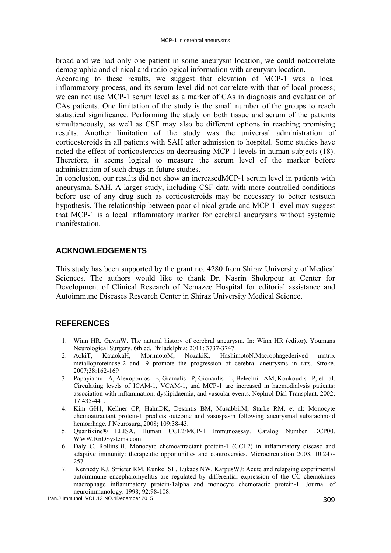broad and we had only one patient in some aneurysm location, we could notcorrelate demographic and clinical and radiological information with aneurysm location.

According to these results, we suggest that elevation of MCP-1 was a local inflammatory process, and its serum level did not correlate with that of local process; we can not use MCP-1 serum level as a marker of CAs in diagnosis and evaluation of CAs patients. One limitation of the study is the small number of the groups to reach statistical significance. Performing the study on both tissue and serum of the patients simultaneously, as well as CSF may also be different options in reaching promising results. Another limitation of the study was the universal administration of corticosteroids in all patients with SAH after admission to hospital. Some studies have noted the effect of corticosteroids on decreasing MCP-1 levels in human subjects (18). Therefore, it seems logical to measure the serum level of the marker before administration of such drugs in future studies.

In conclusion, our results did not show an increasedMCP-1 serum level in patients with aneurysmal SAH. A larger study, including CSF data with more controlled conditions before use of any drug such as corticosteroids may be necessary to better testsuch hypothesis. The relationship between poor clinical grade and MCP-1 level may suggest that MCP-1 is a local inflammatory marker for cerebral aneurysms without systemic manifestation.

## **ACKNOWLEDGEMENTS**

This study has been supported by the grant no. 4280 from Shiraz University of Medical Sciences. The authors would like to thank Dr. Nasrin Shokrpour at Center for Development of Clinical Research of Nemazee Hospital for editorial assistance and Autoimmune Diseases Research Center in Shiraz University Medical Science.

## **REFERENCES**

- 1. Winn HR, GavinW. The natural history of cerebral aneurysm. In: Winn HR (editor). Youmans Neurological Surgery. 6th ed. Philadelphia: 2011: 3737-3747.
- 2. AokiT, KataokaH, MorimotoM, NozakiK, HashimotoN.Macrophagederived matrix metalloproteinase-2 and -9 promote the progression of cerebral aneurysms in rats. Stroke. 2007;38:162-169
- 3. Papayianni A, Alexopoulos E, Giamalis P, Gionanlis L, Belechri AM, Koukoudis P, et al. Circulating levels of ICAM-1, VCAM-1, and MCP-1 are increased in haemodialysis patients: association with inflammation, dyslipidaemia, and vascular events. Nephrol Dial Transplant. 2002; 17:435-441.
- 4. Kim GH1, Kellner CP, HahnDK, Desantis BM, MusabbirM, Starke RM, et al: Monocyte chemoattractant protein-1 predicts outcome and vasospasm following aneurysmal subarachnoid hemorrhage. J Neurosurg, 2008; 109:38-43.
- 5. Quantikine® ELISA, Human CCL2/MCP-1 Immunoassay. Catalog Number DCP00. WWW.RnDSystems.com
- 6. Daly C, RollinsBJ. Monocyte chemoattractant protein-1 (CCL2) in inflammatory disease and adaptive immunity: therapeutic opportunities and controversies. Microcirculation 2003, 10:247- 257.
- 7. Kennedy KJ, Strieter RM, Kunkel SL, Lukacs NW, KarpusWJ: Acute and relapsing experimental autoimmune encephalomyelitis are regulated by differential expression of the CC chemokines macrophage inflammatory protein-1alpha and monocyte chemotactic protein-1. Journal of neuroimmunology. 1998; 92:98-108.